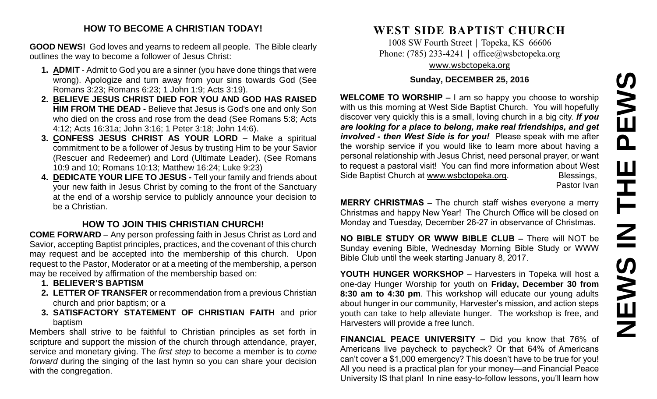# **NEWS IN THE PEWS**PEWS THE  $\overline{\underline{\mathbf{z}}}$ **SWEN**

# **HOW TO BECOME A CHRISTIAN TODAY!**

**GOOD NEWS!** God loves and yearns to redeem all people. The Bible clearly outlines the way to become a follower of Jesus Christ:

- **1. ADMIT** Admit to God you are a sinner (you have done things that were wrong). Apologize and turn away from your sins towards God (See Romans 3:23; Romans 6:23; 1 John 1:9; Acts 3:19).
- **2. BELIEVE JESUS CHRIST DIED FOR YOU AND GOD HAS RAISED HIM FROM THE DEAD -** Believe that Jesus is God's one and only Son who died on the cross and rose from the dead (See Romans 5:8; Acts 4:12; Acts 16:31a; John 3:16; 1 Peter 3:18; John 14:6).
- **3. CONFESS JESUS CHRIST AS YOUR LORD –** Make a spiritual commitment to be a follower of Jesus by trusting Him to be your Savior (Rescuer and Redeemer) and Lord (Ultimate Leader). (See Romans 10:9 and 10; Romans 10:13; Matthew 16:24; Luke 9:23)
- **4. DEDICATE YOUR LIFE TO JESUS -** Tell your family and friends about your new faith in Jesus Christ by coming to the front of the Sanctuary at the end of a worship service to publicly announce your decision to be a Christian.

# **HOW TO JOIN THIS CHRISTIAN CHURCH!**

**COME FORWARD** – Any person professing faith in Jesus Christ as Lord and Savior, accepting Baptist principles, practices, and the covenant of this church may request and be accepted into the membership of this church. Upon request to the Pastor, Moderator or at a meeting of the membership, a person may be received by affirmation of the membership based on:

- **1. BELIEVER'S BAPTISM**
- **2. LETTER OF TRANSFER** or recommendation from a previous Christian church and prior baptism; or a
- **3. SATISFACTORY STATEMENT OF CHRISTIAN FAITH** and prior baptism

Members shall strive to be faithful to Christian principles as set forth in scripture and support the mission of the church through attendance, prayer, service and monetary giving. The *first step* to become a member is to *come forward* during the singing of the last hymn so you can share your decision with the congregation.

# **WEST SIDE BAPTIST CHURCH**

1008 SW Fourth Street | Topeka, KS 66606 Phone: (785) 233-4241 │ [office@wsbctopeka.org](mailto:office@wsbctopeka.org) [www.wsbctopeka.org](http://www.wsbctopeka.org/)

## **Sunday, DECEMBER 25, 2016**

**WELCOME TO WORSHIP –** I am so happy you choose to worship with us this morning at West Side Baptist Church. You will hopefully discover very quickly this is a small, loving church in a big city. *If you are looking for a place to belong, make real friendships, and get involved - then West Side is for you!* Please speak with me after the worship service if you would like to learn more about having a personal relationship with Jesus Christ, need personal prayer, or want to request a pastoral visit! You can find more information about West Side Baptist Church at [www.wsbctopeka.org.](http://www.wsbctopeka.org/) Blessings,

Pastor Ivan

**MERRY CHRISTMAS –** The church staff wishes everyone a merry Christmas and happy New Year! The Church Office will be closed on Monday and Tuesday, December 26-27 in observance of Christmas.

**NO BIBLE STUDY OR WWW BIBLE CLUB –** There will NOT be Sunday evening Bible, Wednesday Morning Bible Study or WWW Bible Club until the week starting January 8, 2017.

**YOUTH HUNGER WORKSHOP** – Harvesters in Topeka will host a one-day Hunger Worship for youth on **Friday, December 30 from 8:30 am to 4:30 pm**. This workshop will educate our young adults about hunger in our community, Harvester's mission, and action steps youth can take to help alleviate hunger. The workshop is free, and Harvesters will provide a free lunch.

**FINANCIAL PEACE UNIVERSITY –** Did you know that 76% of Americans live paycheck to paycheck? Or that 64% of Americans can't cover a \$1,000 emergency? This doesn't have to be true for you! All you need is a practical plan for your money—and Financial Peace University IS that plan! In nine easy-to-follow lessons, you'll learn how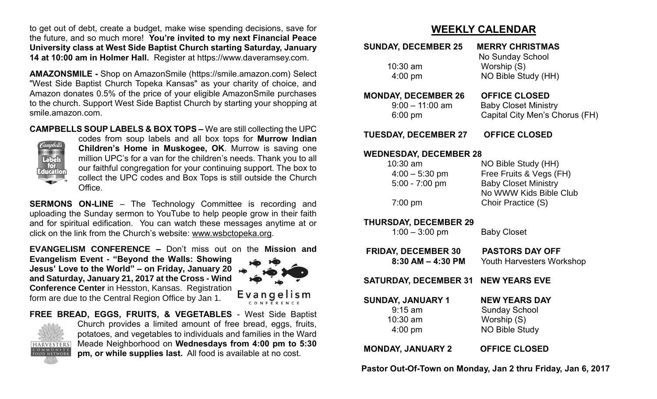to get out of debt, create a budget, make wise spending decisions, save for the future, and so much more! **You're invited to my next Financial Peace University class at West Side Baptist Church starting Saturday, January 14 at 10:00 am in Holmer Hall.** Register at https://www.daveramsey.com.

**AMAZONSMILE -** Shop on AmazonSmile (https://smile.amazon.com) Select "West Side Baptist Church Topeka Kansas" as your charity of choice, and Amazon donates 0.5% of the price of your eligible AmazonSmile purchases to the church. Support West Side Baptist Church by starting your shopping at smile.amazon.com.

**CAMPBELLS SOUP LABELS & BOX TOPS –** We are still collecting the UPC



codes from soup labels and all box tops for **Murrow Indian Children's Home in Muskogee, OK**. Murrow is saving one million UPC's for a van for the children's needs. Thank you to all our faithful congregation for your continuing support. The box to collect the UPC codes and Box Tops is still outside the Church Office.

**SERMONS ON-LINE** – The Technology Committee is recording and uploading the Sunday sermon to YouTube to help people grow in their faith and for spiritual edification. You can watch these messages anytime at or click on the link from the Church's website: [www.wsbctopeka.org.](http://www.wsbctopeka.org/)

**EVANGELISM CONFERENCE –** Don't miss out on the **Mission and** 

**Evangelism Event - "Beyond the Walls: Showing Jesus' Love to the World" – on Friday, January 20 and Saturday, January 21, 2017 at the Cross - Wind Conference Center** in Hesston, Kansas. Registration form are due to the Central Region Office by Jan 1.



Evangelism

**FREE BREAD, EGGS, FRUITS, & VEGETABLES** - West Side Baptist



Church provides a limited amount of free bread, eggs, fruits, potatoes, and vegetables to individuals and families in the Ward Meade Neighborhood on **Wednesdays from 4:00 pm to 5:30 pm, or while supplies last.** All food is available at no cost.

# **WEEKLY CALENDAR**

| <b>SUNDAY, DECEMBER 25</b>                                                                       | <b>MERRY CHRISTMAS</b>                                                                                                        |
|--------------------------------------------------------------------------------------------------|-------------------------------------------------------------------------------------------------------------------------------|
| 10:30 am<br>4:00 pm                                                                              | No Sunday School<br>Worship (S)<br>NO Bible Study (HH)                                                                        |
| <b>MONDAY, DECEMBER 26</b><br>$9:00 - 11:00$ am<br>$6:00$ pm                                     | <b>OFFICE CLOSED</b><br><b>Baby Closet Ministry</b><br>Capital City Men's Chorus (FH)                                         |
| <b>TUESDAY, DECEMBER 27</b>                                                                      | <b>OFFICE CLOSED</b>                                                                                                          |
| <b>WEDNESDAY, DECEMBER 28</b><br>$10:30$ am<br>$4:00 - 5:30$ pm<br>$5:00 - 7:00$ pm<br>$7:00$ pm | NO Bible Study (HH)<br>Free Fruits & Vegs (FH)<br><b>Baby Closet Ministry</b><br>No WWW Kids Bible Club<br>Choir Practice (S) |
| <b>THURSDAY, DECEMBER 29</b><br>$1:00 - 3:00$ pm                                                 | <b>Baby Closet</b>                                                                                                            |
| <b>FRIDAY, DECEMBER 30</b><br>$8:30$ AM $-$ 4:30 PM                                              | <b>PASTORS DAY OFF</b><br><b>Youth Harvesters Workshop</b>                                                                    |
| <b>SATURDAY, DECEMBER 31</b>                                                                     | <b>NEW YEARS EVE</b>                                                                                                          |
| <b>SUNDAY, JANUARY 1</b><br>$9:15$ am<br>10:30 am<br>$4:00$ pm                                   | <b>NEW YEARS DAY</b><br><b>Sunday School</b><br>Worship (S)<br><b>NO Bible Study</b>                                          |
| <b>MONDAY, JANUARY 2</b>                                                                         | <b>OFFICE CLOSED</b>                                                                                                          |

 **Pastor Out-Of-Town on Monday, Jan 2 thru Friday, Jan 6, 2017**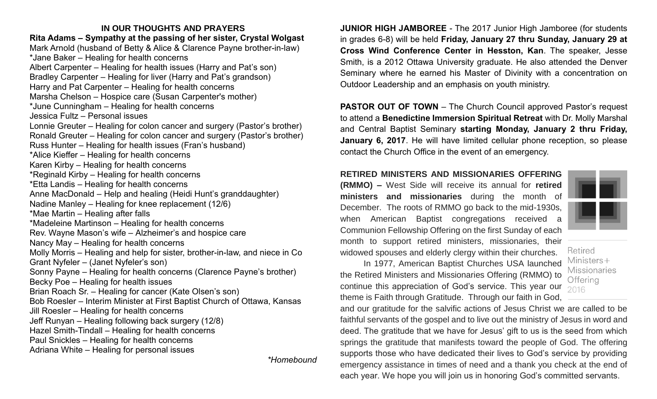### **IN OUR THOUGHTS AND PRAYERS Rita Adams – Sympathy at the passing of her sister, Crystal Wolgast**  Mark Arnold (husband of Betty & Alice & Clarence Payne brother-in-law) \*Jane Baker – Healing for health concerns Albert Carpenter – Healing for health issues (Harry and Pat's son) Bradley Carpenter – Healing for liver (Harry and Pat's grandson) Harry and Pat Carpenter – Healing for health concerns Marsha Chelson – Hospice care (Susan Carpenter's mother) \*June Cunningham – Healing for health concerns Jessica Fultz – Personal issues Lonnie Greuter – Healing for colon cancer and surgery (Pastor's brother) Ronald Greuter – Healing for colon cancer and surgery (Pastor's brother) Russ Hunter – Healing for health issues (Fran's husband) \*Alice Kieffer – Healing for health concerns Karen Kirby – Healing for health concerns \*Reginald Kirby – Healing for health concerns \*Etta Landis – Healing for health concerns Anne MacDonald – Help and healing (Heidi Hunt's granddaughter) Nadine Manley – Healing for knee replacement (12/6) \*Mae Martin – Healing after falls \*Madeleine Martinson – Healing for health concerns Rev. Wayne Mason's wife – Alzheimer's and hospice care Nancy May – Healing for health concerns Molly Morris – Healing and help for sister, brother-in-law, and niece in Co Grant Nyfeler – (Janet Nyfeler's son) Sonny Payne – Healing for health concerns (Clarence Payne's brother) Becky Poe – Healing for health issues Brian Roach Sr. – Healing for cancer (Kate Olsen's son) Bob Roesler – Interim Minister at First Baptist Church of Ottawa, Kansas Jill Roesler – Healing for health concerns Jeff Runyan – Healing following back surgery (12/8) Hazel Smith-Tindall – Healing for health concerns Paul Snickles – Healing for health concerns Adriana White – Healing for personal issues

*\*Homebound*

**JUNIOR HIGH JAMBOREE** - The 2017 Junior High Jamboree (for students in grades 6-8) will be held **Friday, January 27 thru Sunday, January 29 at Cross Wind Conference Center in Hesston, Kan**. The speaker, Jesse Smith, is a 2012 Ottawa University graduate. He also attended the Denver Seminary where he earned his Master of Divinity with a concentration on Outdoor Leadership and an emphasis on youth ministry.

**PASTOR OUT OF TOWN** – The Church Council approved Pastor's request to attend a **Benedictine Immersion Spiritual Retreat** with Dr. Molly Marshal and Central Baptist Seminary **starting Monday, January 2 thru Friday, January 6, 2017**. He will have limited cellular phone reception, so please contact the Church Office in the event of an emergency.

### **RETIRED MINISTERS AND MISSIONARIES OFFERING**

**(RMMO) –** West Side will receive its annual for **retired ministers and missionaries** during the month of December. The roots of RMMO go back to the mid-1930s, when American Baptist congregations received a Communion Fellowship Offering on the first Sunday of each month to support retired ministers, missionaries, their widowed spouses and elderly clergy within their churches.

Retired  $Ministers +$ **Missionaries** Offering 2016

In 1977, American Baptist Churches USA launched the Retired Ministers and Missionaries Offering (RMMO) to continue this appreciation of God's service. This year our theme is Faith through Gratitude. Through our faith in God,

and our gratitude for the salvific actions of Jesus Christ we are called to be faithful servants of the gospel and to live out the ministry of Jesus in word and deed. The gratitude that we have for Jesus' gift to us is the seed from which springs the gratitude that manifests toward the people of God. The offering supports those who have dedicated their lives to God's service by providing emergency assistance in times of need and a thank you check at the end of each year. We hope you will join us in honoring God's committed servants.